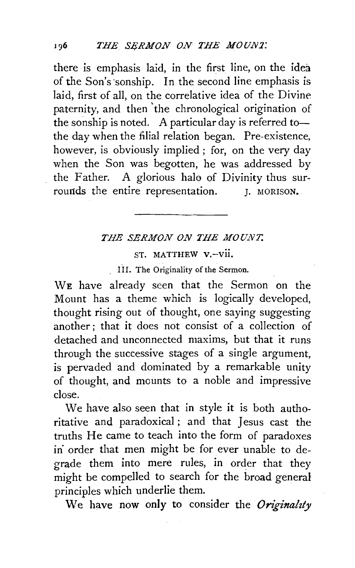there is emphasis laid, in the first line, on the idea of the Son's ·sonship. In the second line emphasis is laid, first of all, on the correlative idea of the Divine paternity, and then 'the chronological origination of the sonship is noted. A particular day is referred tothe day when the filial relation began. Pre-existence, however, is obviously implied ; for, on the very day when the Son was begotten, he was addressed by the Father. A glorious halo of Divinity thus surrounds the entire representation. J. MORISON.

## *THE SERMON ON THE MOUNT.*

ST. MATTHEW V.-vii.

III. The Originality of the Sermon.

WE have already seen that the Sermon on the Mount has a theme which is logically developed, thought rising out of thought, one saying suggesting another ; that it does not consist of a collection of detached and unconnected maxims, but that it runs through the successive stages of a single argument, is pervaded and dominated by a remarkable unity of thought, and mounts to a noble and impressive close.

We have also seen that in style it is both authoritative and paradoxical ; and that Jesus cast the truths He came to teach into the form of paradoxes in order that men might be for ever unable to degrade them into mere rules, in order that they might be compelled to search for the broad general principles which underlie them.

We have now only to consider the *Originality*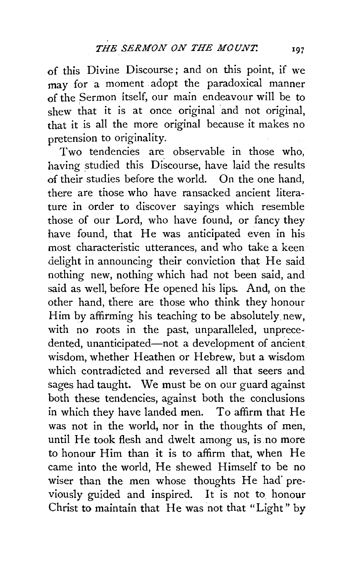of this Divine Discourse; and on this point, if we may for a moment adopt the paradoxical manner of the Sermon itself, our main endeavour will be to shew that it is at once original and not original. that it is all the more original because it makes no pretension to originality.

Two tendencies are observable in those who, having studied this Discourse, have laid the results of their studies before the world. On the one hand, there are those who have ransacked ancient literature in order to discover sayings which resemble those of our Lord, who have found, or fancy they have found, that He was anticipated even in his most characteristic utterances, and who take a keen delight in announcing their conviction that He said nothing new, nothing which had not been said, and said as well, before He opened his lips. And, on the other hand, there are those who think they honour Him by affirming his teaching to be absolutely new, with no roots in the past, unparalleled, unprecedented, unanticipated-not a development of ancient. wisdom, whether Heathen or Hebrew, but a wisdom which contradicted and reversed all that seers and sages had taught. We must be on our guard against both these tendencies, against both the conclusions in which they have landed men. To affirm that He was not in the world, nor in the thoughts of men, until He took flesh and dwelt among us, is no more to honour Him than it is to affirm that, when He came into the world, He shewed Himself to be no wiser than the men whose thoughts He had previously guided and inspired. It is not to. honour Christ to maintain that He was not that "Light" by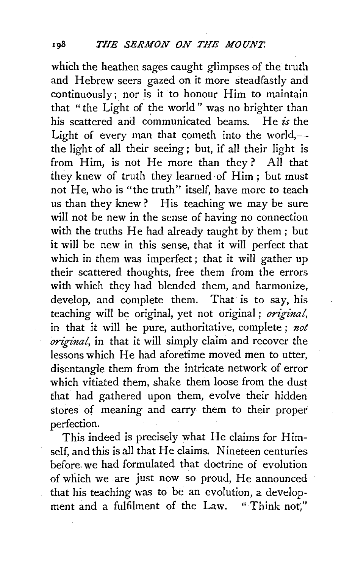which the heathen sages caught glimpses of the truth and Hebrew seers gazed on it more steadfastly and continuously;. nor is it to honour Him to maintain that "the Light of the world" was no brighter than his scattered and communicated beams. He *is* the Light of every man that cometh into the world,the light of all their seeing; but, if all their light is from Him, is not He more than they? All that they knew of truth they learned of Him ; but must not He, who is "the truth" itself, have more to teach us than they knew? His teaching we may be sure will not be new in the sense of having no connection with the truths He had already taught by them; but it will be new in this sense, that it will perfect that which in them was imperfect ; that it will gather up their scattered thoughts, free them from the errors with which they had blended them, and harmonize, develop, and complete them. That is to say, his teaching will be original, yet not original ; *original,*  in that it will be pure, authoritative, complete ; *not original,* in that it will simply claim and recover the lessons which He had aforetime moved men to utter, disentangle them from the intricate network of error which vitiated them, shake them loose from the dust that had gathered upon them, evolve their hidden stores of meaning and carry them to their proper perfection.

This indeed is precisely what He claims for Himself, and this is all that He claims. Nineteen centuries before. we had formulated that doctrine of evolution of which we are just now so proud, He announced that his teaching was to be an evolution, a development and a fulfilment of the Law. "Think not."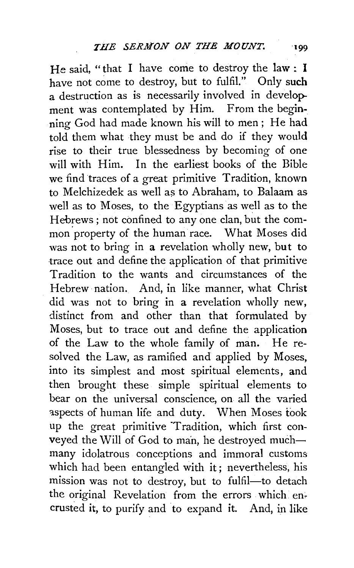He said, "that I have come to destroy the law : I have not come to destroy, but to fulfil." Only such a destruction as is necessarily involved in development was contemplated by Him. From the beginning God had made known his will to men; He had told them what they must be and do if they would rise to their true blessedness by becoming of one will with Him. In the earliest books of the Bible we find traces of a great primitive Tradition, known to Melchizedek as well as to Abraham, to Balaam as well as to Moses, to the Egyptians as well as to the Hebrews ; not confined to any one clan, but the common property of the human race. What Moses did was not to bring in a revelation wholly new, but to -trace out and define the application of that primitive Tradition to the wants and circumstances of the Hebrew nation. And, in like manner, what Christ did was not to bring in a revelation wholly new, distinct from and other than that formulated by Moses, but to trace out and define the application of the Law to the whole family of man. He resolved the Law, as ramified and applied by Moses, into its simplest and most spiritual elements, and then brought these simple spiritual elements to bear on the universal conscience, on all the varied aspects of human life and duty. When Moses took up the great primitive Tradition, which first conveyed the Will of God to man, he destroyed muchmany idolatrous conceptions and immoral customs which had been entangled with it; nevertheless, his mission was not to destroy, but to fulfil-to detach the original Revelation from the errors which encrusted it, to purify and to expand it. And, in like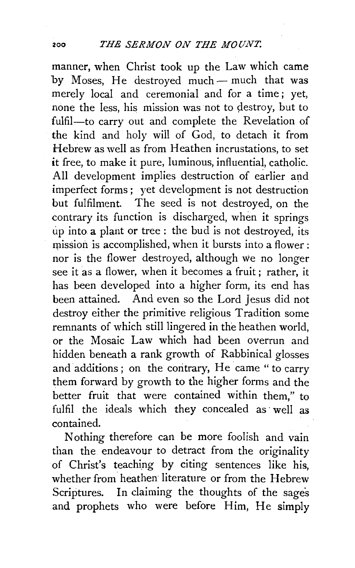manner, when Christ took up the Law which came by Moses. He destroyed much - much that was merely local and ceremonial and for a time; yet, none the less, his mission was not to destroy, but to fulfil-to carry out and complete the Revelation of the kind and holy will of God, to detach it from Hebrew as well as from Heathen incrustations, to set it free, to make it pure, luminous, influential, catholic. All development implies destruction of earlier and imperfect forms ; yet development is not destruction but fulfilment. The seed is not destroyed, on the contrary its function is discharged, when it springs up into a plant or tree : the bud is not destroyed, its mission is accomplished, when it bursts into a flower : nor is the flower destroyed, although we no longer see it as a flower, when it becomes a fruit ; rather, it has been developed into a higher form, its end has been attained. And even so the Lord Jesus did not destroy either the primitive religious Tradition some remnants of which still lingered in the heathen world, or the Mosaic Law which had been overrun and hidden beneath a rank growth of Rabbinical glosses and additions; on the contrary, He came "to carry them forward by growth to the higher forms and the better fruit that were contained within them," to fulfil the ideals which they concealed as well as contained.

Nothing therefore can be more foolish and vain than the endeavour to detract from the originality of Christ's teaching by citing sentences like his, whether from heathen literature or from the Hebrew Scriptures. In claiming the thoughts of the sages and prophets who were before Him, He simply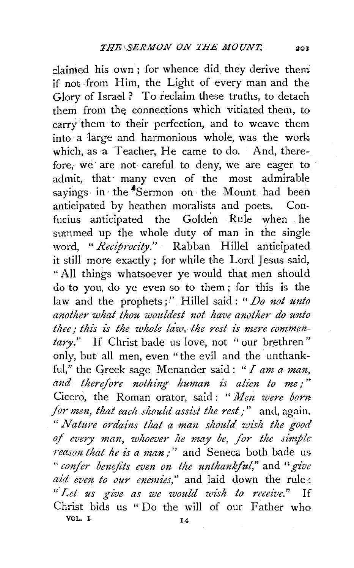claimed his own; for whence did they derive them if not from Him, the Light of every man and the Glory of Israel ? To reclaim these truths, to detach them from the connections which vitiated them, to carrythem to their perfection, and to weave them  $into a large and harmonious whole, was the work$ which, as a Teacher, He came to do. And, therefore, we· are not careful to deny, we are eager to admit, that· many even of the most admirable sayings in the  $\sim$ Sermon on the Mount had been anticipated by heathen moralists and poets. Con· fucius anticipated the Golden Rule when he summed up the whole duty of man in the single word, *"Reciprocity.".* Rabban Hillel anticipated it still more exactly; for while the Lord Jesus said, "All things whatsoever ye would that men should do to you, do ye even so to them ; for this is the law and the prophets;" Hillel said: *"Do not unto another what thou wouldest not have another do unto thee; this is the whole law, lhe rest is mere commen*tary." If Christ bade us love, not "our brethren" only, but all men, even "the evil and the unthankful," the Greek sage Menander said: " $I$  am a man, and therefore nothing human is alien to me;" Cicero, the Roman orator, said : *"Men. were bont. for men, that each should assist the rest;*" and, again. " Nature ordains that a man should wish the good *of every man, whoever he may be, for the simple reason that he is a man;"* and Seneca both bade us. " *confer benefits even on the unthankful*," and " give *aid evm to our enemies,"* and laid down the rule·: " *Let us give as we would wish to receive."* If Christ bids us "Do the will of our Father who vol.  $\mathbf{I}$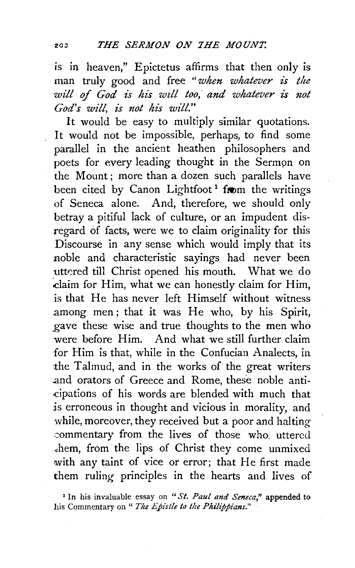is in heaven," Epictetus affirms that then only is man truly good and free "when whatever is the will of God is his will too, and whatever is not *God's will, is not his will."* 

It would be easy to multiply similar quotations. It would not be impossible, perhaps, to find some parallel in the ancient heathen philosophers and poets for every leading thought in the Sermon on the Mount; more than a dozen such parallels have been cited by Canon Lightfoot<sup>1</sup> from the writings of Seneca alone. And, therefore, we should only betray a pitiful lack of culture, or an impudent disregard of facts, were we to claim originality for this Discourse in any sense which would imply that its noble and characteristic sayings had never been uttered till Christ opened his mouth. What we do :Claim for Him, what we can honestly claim for Him, is that He has never left Himself without witness .among men ; that it was He who, by his Spirit, gave these wise and true thoughts to the men who were before Him. And what we still further claim for Him is that, while in the Confucian Analects, in the Talmud, and in the works of the great writers .and orators of Greece and Rome, these noble anti- .cipations of his words are blended with much that is erroneous in thought and vicious in morality, and while, moreover, they received but a poor and halting .:ommentary from the lives of those who. uttered .:hem, from· the lips of Christ they come unmixed with any taint of vice or error; that He first made them ruling principles in the hearts and lives of

<sup>1</sup>In his invaluable essay on *"St. Paul and Seneca,"* appended to his Commentary on " The Epistle to the Philippians."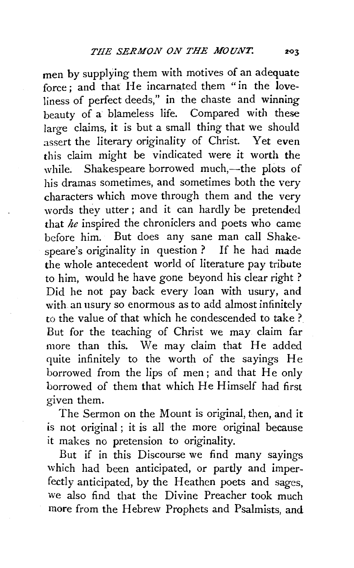men by supplying them with motives of an adequate force ; and that He incarnated them " in the loveliness of perfect deeds," in the chaste and winning beauty of a blameless life. Compared with these large claims, it is but a small thing that we should assert the literary originality of Christ. Yet even this claim might be vindicated were it worth the while. Shakespeare borrowed much,—the plots of his dramas sometimes, and sometimes both the very characters which move through them and the *very*  words they utter ; and it can hardly be pretended that *he* inspired the chroniclers and poets who came before him. But does any sane man call Shakespeare's originality in question ? If he had made the whole antecedent world of literature pay tribute to him, would he have gone beyond his clear right ? Did he not pay back every loan with usury, and with an usury so enormous as to add almost infinitely to the value of that which he condescended to take ? But for the teaching of Christ we may claim far more than this. We may claim that He added quite infinitely to the worth of the sayings He borrowed from the lips of men ; and that He only borrowed of them that which He Himself had first given them.

The Sermon on the Mount is original, then, and it is not original ; it is all the more original because it makes no pretension to originality.

But if in this Discourse we find many sayings which had been anticipated, or partly and imperfectly anticipated, by the Heathen poets and sages, we also find that the Divine Preacher took much more from the Hebrew Prophets and Psalmists, and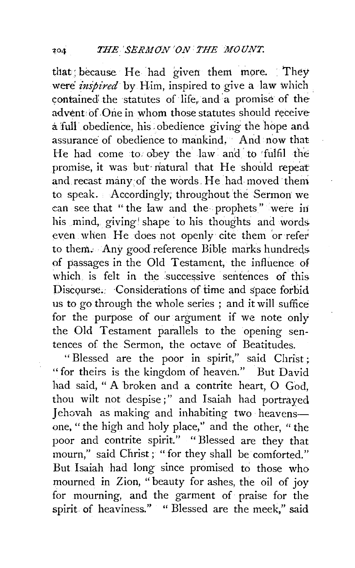that; because He had given them more. They were *inspired* by Him, inspired to give a law which contained the statutes of life and a promise of the advent of One in whom those statutes should receive a full obedience, his. obedience giving the hope and assurance of obedience to mankind. And now that He had come to obey the law and to fulfil the promise, it was but natural that He should repeat and.recast many:of the words. He had moved theni to speak. Accordingly, throughout the Sermon we can see that "the law and the prophets" were in his mind, giving shape to his thoughts and words. even when He does not openly cite them 'or refer to them. Any good reference Bible marks hundreds. of pgssages in the Old Testament, the influence of which is felt in the successive sentences of this. Discourse: Considerations of time and space forbid us to go through the whole series ; and it will suffice for the purpose of our argument if we note only the Old Testament parallels to the opening sentences of the Sermon, the octave of Beatitudes.

" Blessed are the poor in spirit," said Christ ; "for theirs is the kingdom of heaven." But David had said, " A broken and a contrite heart, O God, thou wilt not despise;" and Isaiah had portrayed Jehovah as making and inhabiting two heavensone, " the high and holy place,'' and the other, " the poor and contrite spirit." "Blessed are they that mourn," said Christ; "for they shall be comforted." But Isaiah had long since promised to those who mourned in Zion, "beauty for ashes, the oil of joy for mourning, and the garment of praise for the spirit of heaviness." " Blessed are the meek," said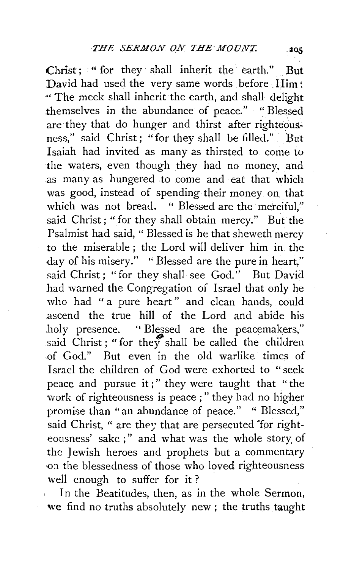Christ ; " for they shall inherit the earth." But David had used the very same words before Him: " The meek shall inherit the earth, and shall delight themselves in the abundance of peace." ''Blessed are they that do hunger and thirst after righteousness," said Christ; "for they shall be filled." But Isaiah had invited as many as thirsted to come to the waters, even though they had no money, and .as many as hungered to come and eat that which was good, instead of spending their money on. that which was not bread. " Blessed are the merciful." said Christ; "for they shall obtain mercy." But the Psalmist had said, " Blessed is he that sheweth mercy to the miserable ; the Lord will deliver him in the day of his misery." "Blessed are the pure in heart," said Christ; "for they shall see God." But David had warned the Congregation of Israel that only he who had " a pure heart" and clean hands, could .ascend the true hill of the Lord and abide his .holy presence. " Blessed are the peacemakers," said Christ; "for they shall be called the children -of God." But even in the old warlike times of Israel the children of God were exhorted to "seek peace and pursue it;" they were taught that "the work of righteousness is peace ; " they had no higher promise than "an abundance of peace." " Blessed," said Christ, " are they that are persecuted for righteousness' sake;" and what was the whole story of the Jewish heroes and prophets but a commentary on the blessedness of those who loved righteousness well enough to suffer for it ?

In the Beatitudes, then, as in the whole Sermon, we find no truths absolutely. new ; the truths taught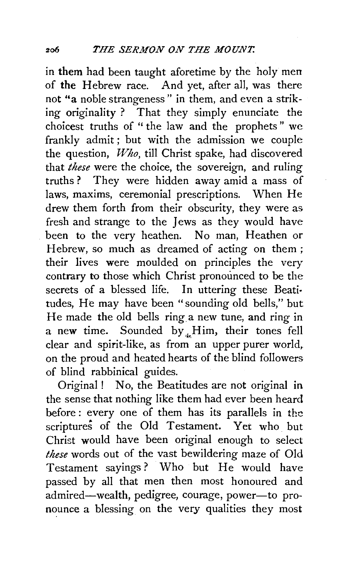in them had been taught aforetime by the holy men of the Hebrew race. And yet, after all, was there not "a noble strangeness" in them, and even a striking originality ? That they simply enunciate the choicest truths of " the law and the prophets" we frankly admit ; but with the admission we couple the question, *Who,* till Christ spake, had discovered that *these* were the choice, the sovereign, and ruling truths ? They were hidden away amid a mass of laws, maxims, ceremonial prescriptions. When He drew them forth from their obscurity, they were as fresh and strange to the Jews as they would have been to the very heathen. No man, Heathen or Hebrew, so much as dreamed of acting on them; their lives were moulded on principles the very contrary to those which Christ pronounced to be the secrets of a blessed life. In uttering these Beati· tudes, He may have been "sounding old bells," but He made the old bells ring a new tune, and ring in a new time. Sounded by  $_{4}$ Him, their tones fell clear and spirit-like, as from an upper purer world,. on the proud and heated hearts of the blind followers of blind rabbinical guides.

Original ! No, the Beatitudes are not original in the sense that nothing like them had ever been heard before: every one of them has its parallels in the scriptures of the Old Testament. Yet who but Christ would have been original enough to select *these* words out of the vast bewildering maze of Old Testament sayings? Who but He would have passed by all that men then most honoured and admired-wealth, pedigree, courage, power-to pronounce a blessing on the very qualities they most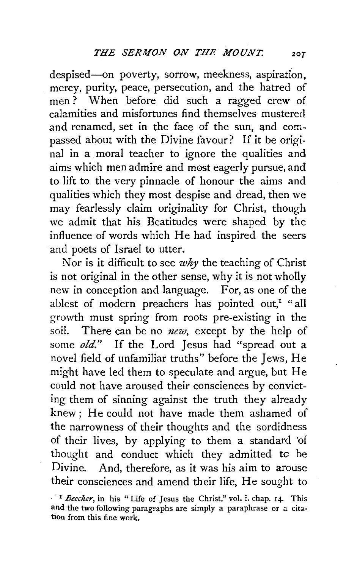despised-on poverty, sorrow, meekness, aspiration. mercy, purity, peace, persecution, and the hatred of men ? When before did such a ragged crew of calamities and misfortunes find themselves mustered and renamed, set in the face of the sun, and compassed about with the Divine favour? If it be original in a moral teacher to ignore the qualities and aims which men admire and most eagerly pursue, and to lift to the very pinnacle of honour the aims and qualities which they most despise and dread, then we may fearlessly claim originality for Christ, though we admit that his Beatitudes were shaped by the influence of words which He had inspired the seers and poets of Israel to utter.

Nor is it difficult to see *why* the teaching of Christ is not original in the other sense, why it is not wholly new in conception and language. For, as one of the ablest of modern preachers has pointed out,<sup>1</sup> "all growth must spring from roots pre-existing in the soil. There can be no *new,* except by the help of some *old."* If the Lord Jesus had "spread out a novel field of unfamiliar truths" before the Jews, He might have led them to speculate and argue, but He could not have aroused their consciences by convicting them of sinning against the truth they already knew; He could not have made them ashamed of the narrowness of their thoughts and the sordidness of their lives, by applying to them a standard 'of thought and conduct which they admitted *to* be Divine. And, therefore, as it was his aim to arouse their consciences and amend their life, He sought to

<sup>· &#</sup>x27; <sup>1</sup>*Beecher,* in his "Life of Jesus the Christ," vol. i. chap. 14- This and the two following paragraphs are simply a paraphrase or a citation from this fine work.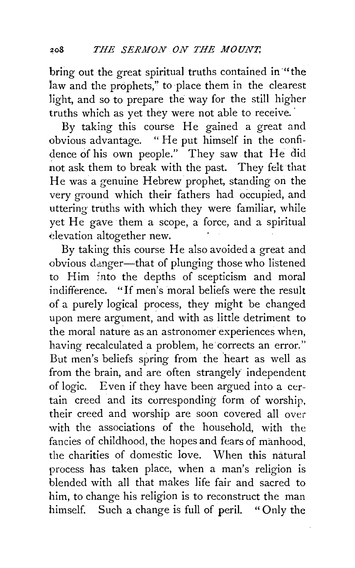bring out the great spiritual truths contained in "the law and the prophets," to place them in the clearest light, and so to prepare the way for the still higher truths which as yet they were not able to receive.

By taking this course He gained a great and obvious advantage. "He put himself in the confidence of his own people." They saw that He did not ask them to break with the past. They felt that He was a genuine Hebrew prophet, standing on the very ground which their 'fathers had occupied, and uttering truths with which they were familiar, while yet He gave them a scope, a force, and a spiritual elevation altogether new.

By taking this course He also avoided a great and obvious danger-that of plunging those who listened to Him 5nto the depths of scepticism and moral indifference. "If men's moral beliefs were the result of a purely logical process, they might be changed upon mere argument, and with as little detriment to the moral nature as an astronomer experiences when, having recalculated a problem, he corrects an error." But men's beliefs spring from the 'heart as well as from the brain, and are often strangely' independent of logic. Even if they have been argued into a certain creed and its corresponding form of worship, their creed and worship are soon covered all over with the associations of the household, with the fancies of childhood, the hopes and fears of manhood, the charities of domestic love. When this natural process has taken place, when a man's religion is blended with all that makes life fair and sacred to him, to change his religion is to reconstruct the man himself. Such a change is full of peril. "Only the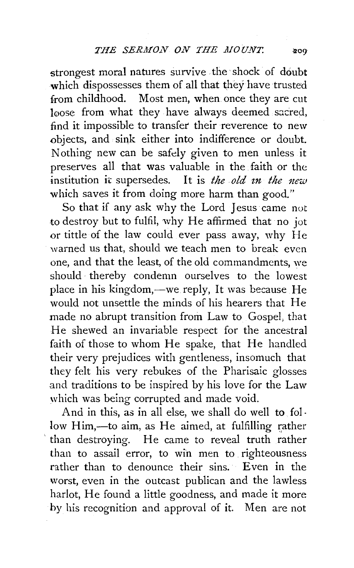strongest moral natures survive the shock of doubt which dispossesses them of all that they have trusted from childhood. Most men, when once they are cut loose from what they have always deemed sacred, find it impossible to transfer their reverence to new objects, and sink either into indifference or doubt. Nothing new can be safely given to men unless it preserves all that was valuable in the faith or the institution it supersedes. It is *the old in the new* which saves it from doing more harm than good."

So that if any ask why the Lord Jesus came not to destroy but to fulfil, why He affirmed that no jot or tittle of the law could ever pass away, why He warned us that, should we teach men to break even one, and that the least, of the old commandments, we should thereby condemn ourselves to the lowest place in his kingdom,—we reply, It was because He would not unsettle the minds of his hearers that He made no abrupt transition from Law to Gospel, that He shewed an invariable respect for the ancestral faith of those to whom He spake, that He handled their very prejudices with gentleness, insomuch that they felt his very rebukes of the Pharisaic glosses and traditions to be inspired by his love for the Law which was being corrupted and made void.

And in this, as in all else, we shall do well to follow Him,--to aim, as He aimed, at fulfilling rather than destroying. He came to reveal truth rather than to assail error, to win men to righteousness rather than to denounce their sins. Even in the worst, even in the outcast publican and the lawless harlot, He found a little goodness, and made it more by his recognition and approval of it. Men are not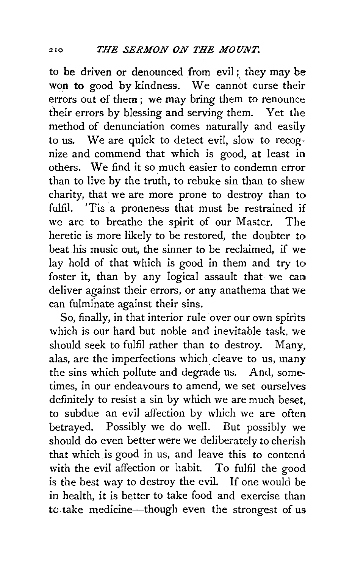to be driven or denounced from evil; they may be won to good by kindness. We cannot curse their errors out of them ; we may bring them to renounce their errors by blessing and serving them. Yet the method of denunciation comes naturally and easily to us. We are quick to detect evil, slow to recognize and commend that which is good, at least in others. We find it so much easier to condemn error than to live by the truth, to rebuke sin than to shew charity, that we are more prone to destroy than to fulfil. 'Tis a proneness that must be restrained if we are to breathe the spirit of our Master. The heretic is more likely to be restored, the doubter to beat his music out, the sinner to be reclaimed, if we lay hold of that which is good in them and try to foster it, than by any logical assault that we can deliver against their errors, or any anathema that we can fulminate against their sins.

So, finally, in that interior rule over our own spirits which is our hard but noble and inevitable task, we should seek to fulfil rather than to destroy. Many, alas, are the imperfections which cleave to us, many the sins which pollute and degrade us. And, sometimes, in our endeavours to amend, we set ourselves definitely to resist a sin by which we are much beset, to subdue an evil affection by which we are often betrayed. Possibly we do well. But possibly we should do even better were we deliberately to cherish that which is good in us, and leave this to contend with the evil affection or habit. To fulfil the good is the best way to destroy the evil. If one would be in health, it is better to take food and exercise than to take medicine-though even the strongest of us